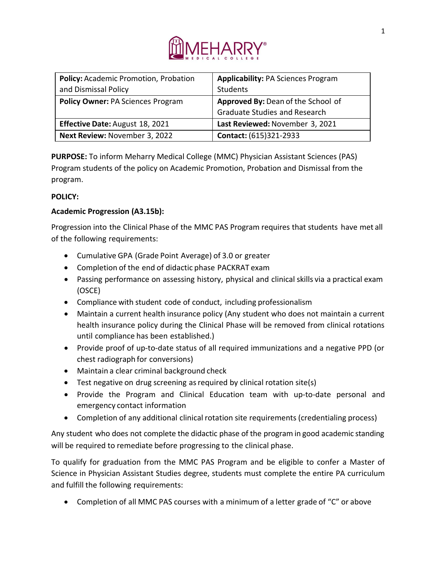

| Policy: Academic Promotion, Probation    | <b>Applicability: PA Sciences Program</b> |
|------------------------------------------|-------------------------------------------|
| and Dismissal Policy                     | Students                                  |
| <b>Policy Owner: PA Sciences Program</b> | Approved By: Dean of the School of        |
|                                          | <b>Graduate Studies and Research</b>      |
| <b>Effective Date: August 18, 2021</b>   | Last Reviewed: November 3, 2021           |
| Next Review: November 3, 2022            | Contact: (615)321-2933                    |

**PURPOSE:** To inform Meharry Medical College (MMC) Physician Assistant Sciences (PAS) Program students of the policy on Academic Promotion, Probation and Dismissal from the program.

## **POLICY:**

# **Academic Progression (A3.15b):**

Progression into the Clinical Phase of the MMC PAS Program requires that students have met all of the following requirements:

- Cumulative GPA (Grade Point Average) of 3.0 or greater
- Completion of the end of didactic phase PACKRAT exam
- Passing performance on assessing history, physical and clinical skills via a practical exam (OSCE)
- Compliance with student code of conduct, including professionalism
- Maintain a current health insurance policy (Any student who does not maintain a current health insurance policy during the Clinical Phase will be removed from clinical rotations until compliance has been established.)
- Provide proof of up-to-date status of all required immunizations and a negative PPD (or chest radiograph for conversions)
- Maintain a clear criminal background check
- Test negative on drug screening as required by clinical rotation site(s)
- Provide the Program and Clinical Education team with up-to-date personal and emergency contact information
- Completion of any additional clinical rotation site requirements (credentialing process)

Any student who does not complete the didactic phase of the program in good academic standing will be required to remediate before progressing to the clinical phase.

To qualify for graduation from the MMC PAS Program and be eligible to confer a Master of Science in Physician Assistant Studies degree, students must complete the entire PA curriculum and fulfill the following requirements:

• Completion of all MMC PAS courses with a minimum of a letter grade of "C" or above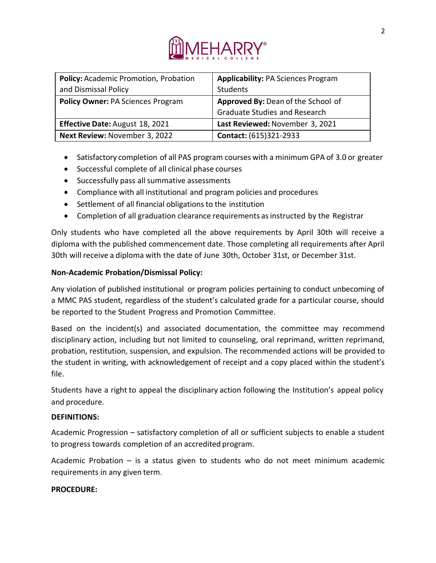

| Policy: Academic Promotion, Probation    | <b>Applicability: PA Sciences Program</b> |
|------------------------------------------|-------------------------------------------|
| and Dismissal Policy                     | Students                                  |
| <b>Policy Owner: PA Sciences Program</b> | Approved By: Dean of the School of        |
|                                          | <b>Graduate Studies and Research</b>      |
| Effective Date: August 18, 2021          | Last Reviewed: November 3, 2021           |
| Next Review: November 3, 2022            | Contact: (615)321-2933                    |

- Satisfactory completion of all PAS program courses with a minimum GPA of 3.0 or greater
- Successful complete of all clinical phase courses
- Successfully pass all summative assessments
- Compliance with all institutional and program policies and procedures
- Settlement of all financial obligationsto the institution
- Completion of all graduation clearance requirements as instructed by the Registrar

Only students who have completed all the above requirements by April 30th will receive a diploma with the published commencement date. Those completing all requirements after April 30th will receive a diploma with the date of June 30th, October 31st, or December 31st.

## **Non-Academic Probation/Dismissal Policy:**

Any violation of published institutional or program policies pertaining to conduct unbecoming of a MMC PAS student, regardless of the student's calculated grade for a particular course, should be reported to the Student Progress and Promotion Committee.

Based on the incident(s) and associated documentation, the committee may recommend disciplinary action, including but not limited to counseling, oral reprimand, written reprimand, probation, restitution, suspension, and expulsion. The recommended actions will be provided to the student in writing, with acknowledgement of receipt and a copy placed within the student's file.

Students have a right to appeal the disciplinary action following the Institution's appeal policy and procedure.

### **DEFINITIONS:**

Academic Progression – satisfactory completion of all or sufficient subjects to enable a student to progress towards completion of an accredited program.

Academic Probation – is a status given to students who do not meet minimum academic requirements in any given term.

### **PROCEDURE:**